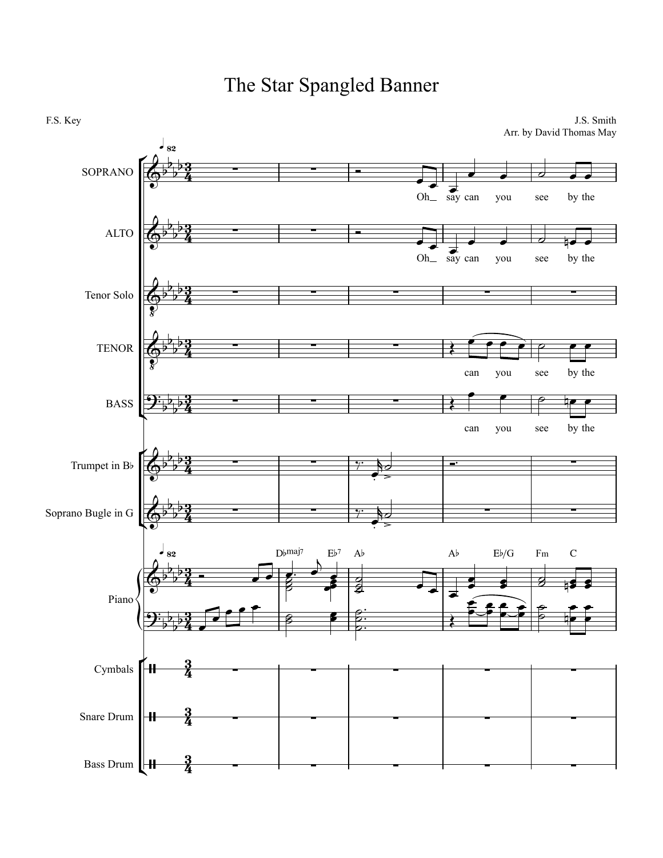

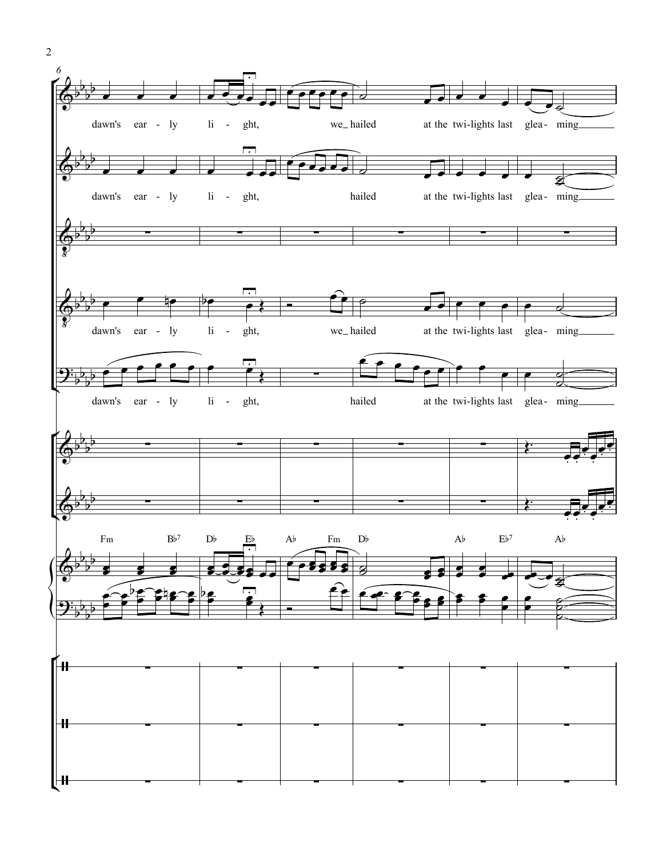![](_page_1_Figure_0.jpeg)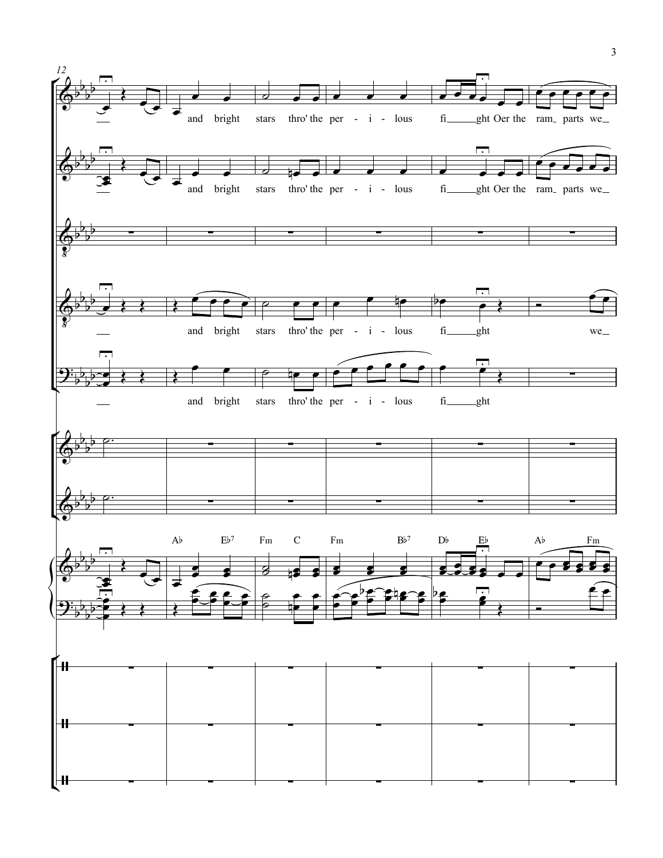![](_page_2_Figure_0.jpeg)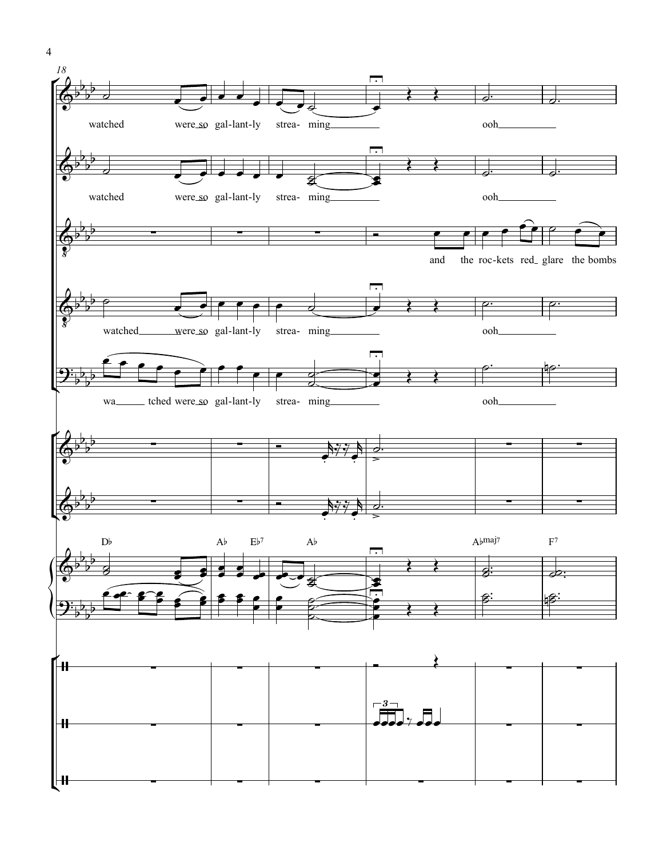![](_page_3_Figure_0.jpeg)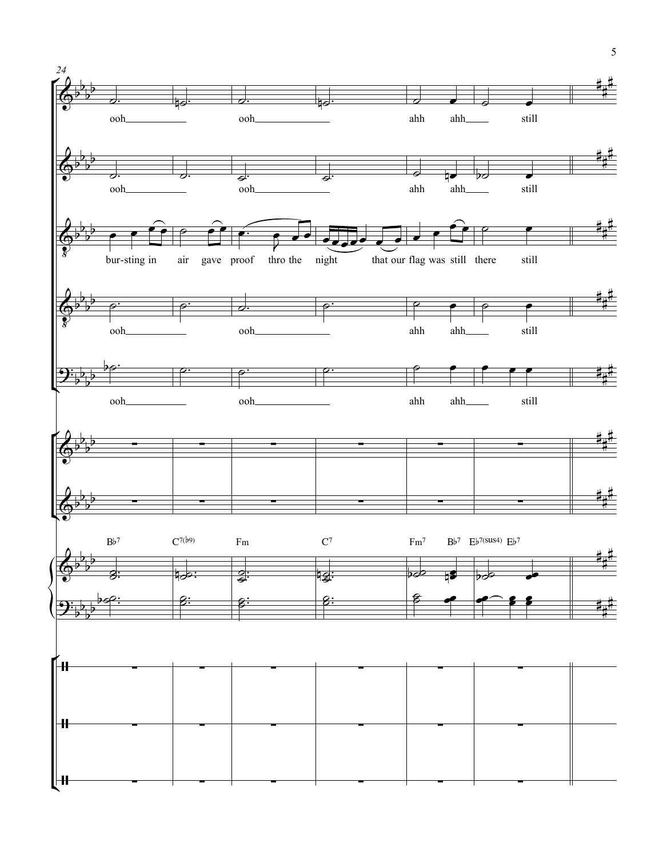![](_page_4_Figure_0.jpeg)

5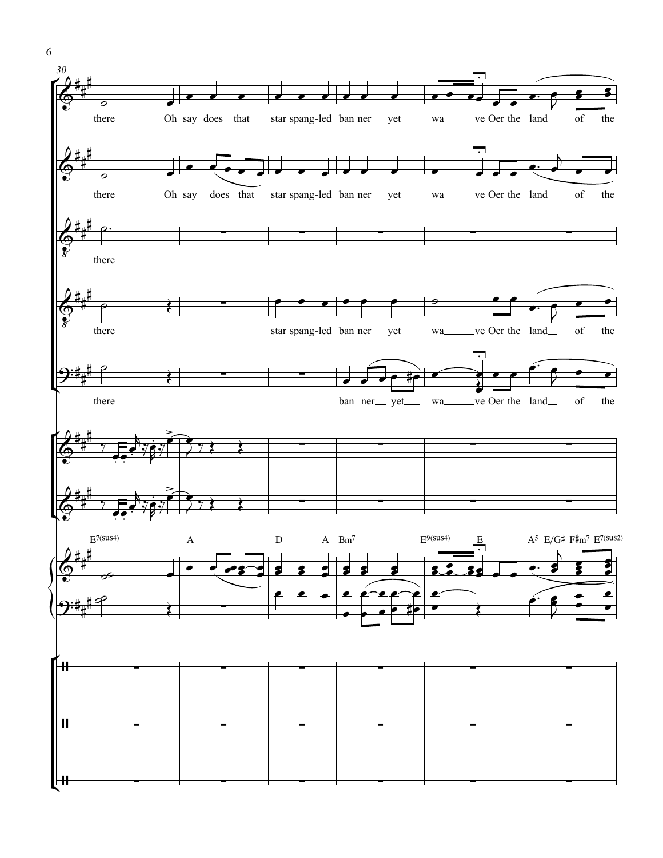![](_page_5_Figure_0.jpeg)

6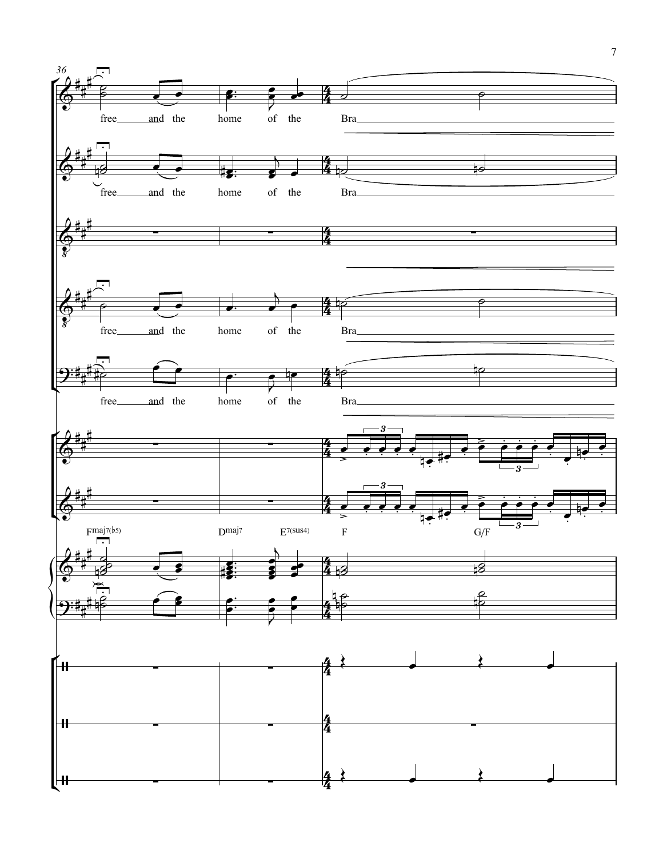![](_page_6_Figure_0.jpeg)